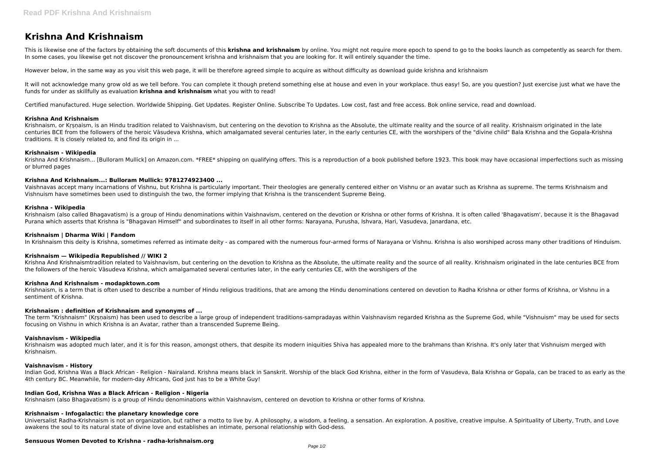# **Krishna And Krishnaism**

This is likewise one of the factors by obtaining the soft documents of this **krishna and krishnaism** by online. You might not require more epoch to spend to go to the books launch as competently as search for them. In some cases, you likewise get not discover the pronouncement krishna and krishnaism that you are looking for. It will entirely squander the time.

However below, in the same way as you visit this web page, it will be therefore agreed simple to acquire as without difficulty as download guide krishna and krishnaism

It will not acknowledge many grow old as we tell before. You can complete it though pretend something else at house and even in your workplace. thus easy! So, are you question? Just exercise just what we have the funds for under as skillfully as evaluation **krishna and krishnaism** what you with to read!

Krishnaism, or Krsnaism, is an Hindu tradition related to Vaishnavism, but centering on the devotion to Krishna as the Absolute, the ultimate reality and the source of all reality. Krishnaism originated in the late centuries BCE from the followers of the heroic Vāsudeva Krishna, which amalgamated several centuries later, in the early centuries CE, with the worshipers of the "divine child" Bala Krishna and the Gopala-Krishna traditions. It is closely related to, and find its origin in ...

Krishna And Krishnaism... [Bulloram Mullick] on Amazon.com. \*FREE\* shipping on qualifying offers. This is a reproduction of a book published before 1923. This book may have occasional imperfections such as missing or blurred pages

Certified manufactured. Huge selection. Worldwide Shipping. Get Updates. Register Online. Subscribe To Updates. Low cost, fast and free access. Bok online service, read and download.

#### **Krishna And Krishnaism**

#### **Krishnaism - Wikipedia**

#### **Krishna And Krishnaism...: Bulloram Mullick: 9781274923400 ...**

Vaishnavas accept many incarnations of Vishnu, but Krishna is particularly important. Their theologies are generally centered either on Vishnu or an avatar such as Krishna as supreme. The terms Krishnaism and Vishnuism have sometimes been used to distinguish the two, the former implying that Krishna is the transcendent Supreme Being.

Krishnaism was adopted much later, and it is for this reason, amongst others, that despite its modern iniquities Shiva has appealed more to the brahmans than Krishna. It's only later that Vishnuism merged with Krishnaism.

#### **Krishna - Wikipedia**

Krishnaism (also called Bhagavatism) is a group of Hindu denominations within Vaishnavism, centered on the devotion or Krishna or other forms of Krishna. It is often called 'Bhagavatism', because it is the Bhagavad Purana which asserts that Krishna is "Bhagavan Himself" and subordinates to itself in all other forms: Narayana, Purusha, Ishvara, Hari, Vasudeva, Janardana, etc.

#### **Krishnaism | Dharma Wiki | Fandom**

In Krishnaism this deity is Krishna, sometimes referred as intimate deity - as compared with the numerous four-armed forms of Narayana or Vishnu. Krishna is also worshiped across many other traditions of Hinduism.

#### **Krishnaism — Wikipedia Republished // WIKI 2**

Krishna And Krishnaismtradition related to Vaishnavism, but centering on the devotion to Krishna as the Absolute, the ultimate reality and the source of all reality. Krishnaism originated in the late centuries BCE from the followers of the heroic Vāsudeva Krishna, which amalgamated several centuries later, in the early centuries CE, with the worshipers of the

#### **Krishna And Krishnaism - modapktown.com**

Krishnaism, is a term that is often used to describe a number of Hindu religious traditions, that are among the Hindu denominations centered on devotion to Radha Krishna or other forms of Krishna, or Vishnu in a sentiment of Krishna.

#### **Krishnaism : definition of Krishnaism and synonyms of ...**

The term "Krishnaism" (Kṛṣṇaism) has been used to describe a large group of independent traditions-sampradayas within Vaishnavism regarded Krishna as the Supreme God, while "Vishnuism" may be used for sects focusing on Vishnu in which Krishna is an Avatar, rather than a transcended Supreme Being.

#### **Vaishnavism - Wikipedia**

#### **Vaishnavism - History**

Indian God, Krishna Was a Black African - Religion - Nairaland. Krishna means black in Sanskrit. Worship of the black God Krishna, either in the form of Vasudeva, Bala Krishna or Gopala, can be traced to as early as the 4th century BC. Meanwhile, for modern-day Africans, God just has to be a White Guy!

#### **Indian God, Krishna Was a Black African - Religion - Nigeria**

Krishnaism (also Bhagavatism) is a group of Hindu denominations within Vaishnavism, centered on devotion to Krishna or other forms of Krishna.

#### **Krishnaism - Infogalactic: the planetary knowledge core**

Universalist Radha-Krishnaism is not an organization, but rather a motto to live by. A philosophy, a wisdom, a feeling, a sensation. An exploration. A positive, creative impulse. A Spirituality of Liberty, Truth, and Love awakens the soul to its natural state of divine love and establishes an intimate, personal relationship with God-dess.

## **Sensuous Women Devoted to Krishna - radha-krishnaism.org**